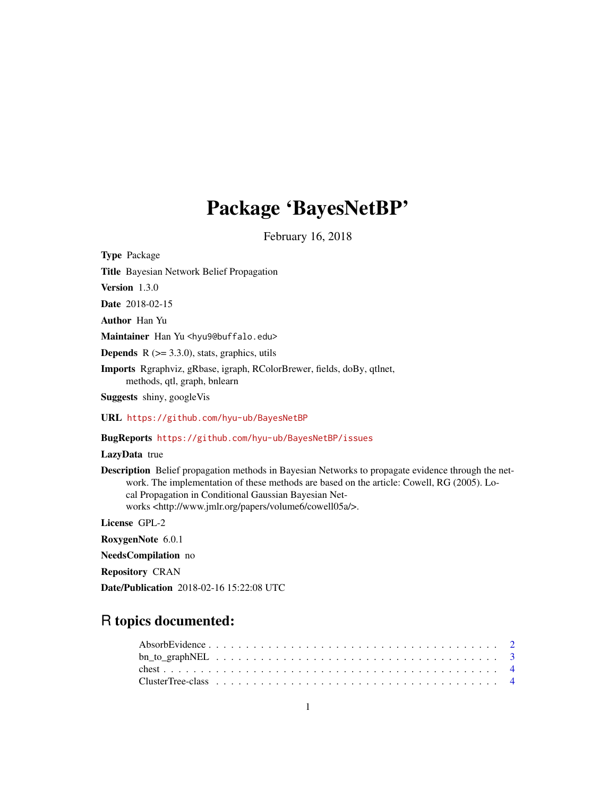# Package 'BayesNetBP'

February 16, 2018

Type Package Title Bayesian Network Belief Propagation Version 1.3.0 Date 2018-02-15 Author Han Yu Maintainer Han Yu <hyu9@buffalo.edu> **Depends** R  $(>= 3.3.0)$ , stats, graphics, utils Imports Rgraphviz, gRbase, igraph, RColorBrewer, fields, doBy, qtlnet, methods, qtl, graph, bnlearn Suggests shiny, googleVis URL <https://github.com/hyu-ub/BayesNetBP> BugReports <https://github.com/hyu-ub/BayesNetBP/issues> LazyData true Description Belief propagation methods in Bayesian Networks to propagate evidence through the network. The implementation of these methods are based on the article: Cowell, RG (2005). Local Propagation in Conditional Gaussian Bayesian Networks <http://www.jmlr.org/papers/volume6/cowell05a/>.

License GPL-2

RoxygenNote 6.0.1

NeedsCompilation no

Repository CRAN

Date/Publication 2018-02-16 15:22:08 UTC

# R topics documented: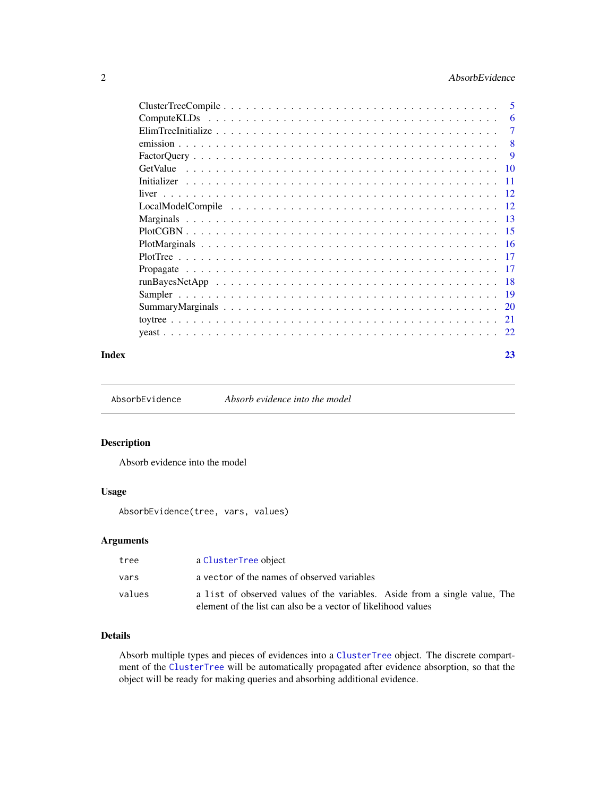# <span id="page-1-0"></span>2 **AbsorbEvidence AbsorbEvidence**

|       | <b>ComputeKLDs</b> |     |
|-------|--------------------|-----|
|       |                    |     |
|       |                    | - 8 |
|       |                    |     |
|       |                    |     |
|       |                    |     |
|       |                    |     |
|       |                    |     |
|       |                    |     |
|       |                    |     |
|       |                    |     |
|       |                    |     |
|       |                    |     |
|       |                    |     |
|       |                    |     |
|       |                    |     |
|       |                    |     |
|       |                    |     |
| Index |                    | 23  |

AbsorbEvidence *Absorb evidence into the model*

# Description

Absorb evidence into the model

# Usage

AbsorbEvidence(tree, vars, values)

# Arguments

| tree   | a ClusterTree object                                                                                                                        |
|--------|---------------------------------------------------------------------------------------------------------------------------------------------|
| vars   | a vector of the names of observed variables                                                                                                 |
| values | a list of observed values of the variables. Aside from a single value, The<br>element of the list can also be a vector of likelihood values |

# Details

Absorb multiple types and pieces of evidences into a [ClusterTree](#page-3-1) object. The discrete compartment of the [ClusterTree](#page-3-1) will be automatically propagated after evidence absorption, so that the object will be ready for making queries and absorbing additional evidence.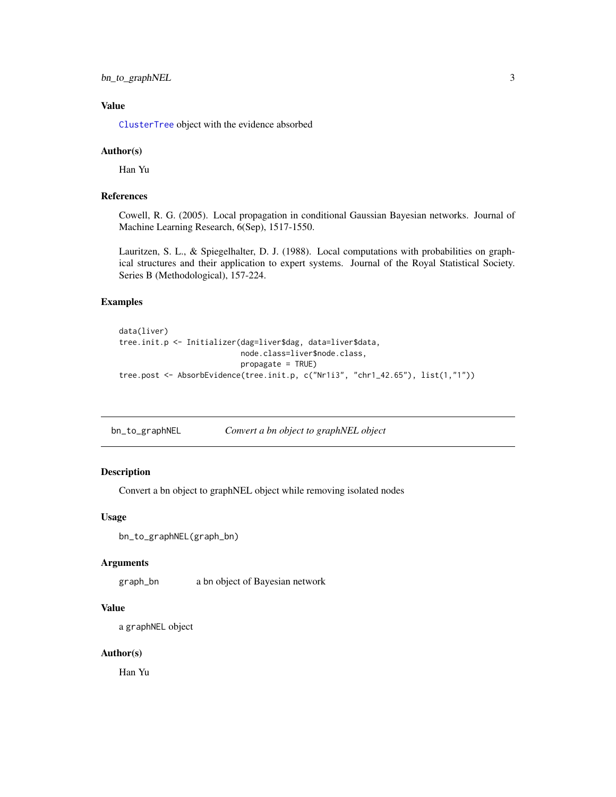<span id="page-2-0"></span>bn\_to\_graphNEL 3

# Value

[ClusterTree](#page-3-1) object with the evidence absorbed

#### Author(s)

Han Yu

# References

Cowell, R. G. (2005). Local propagation in conditional Gaussian Bayesian networks. Journal of Machine Learning Research, 6(Sep), 1517-1550.

Lauritzen, S. L., & Spiegelhalter, D. J. (1988). Local computations with probabilities on graphical structures and their application to expert systems. Journal of the Royal Statistical Society. Series B (Methodological), 157-224.

#### Examples

```
data(liver)
tree.init.p <- Initializer(dag=liver$dag, data=liver$data,
                           node.class=liver$node.class,
                           propagate = TRUE)
tree.post <- AbsorbEvidence(tree.init.p, c("Nr1i3", "chr1_42.65"), list(1,"1"))
```
bn\_to\_graphNEL *Convert a bn object to graphNEL object*

# Description

Convert a bn object to graphNEL object while removing isolated nodes

# Usage

```
bn_to_graphNEL(graph_bn)
```
#### Arguments

graph\_bn a bn object of Bayesian network

#### Value

```
a graphNEL object
```
# Author(s)

Han Yu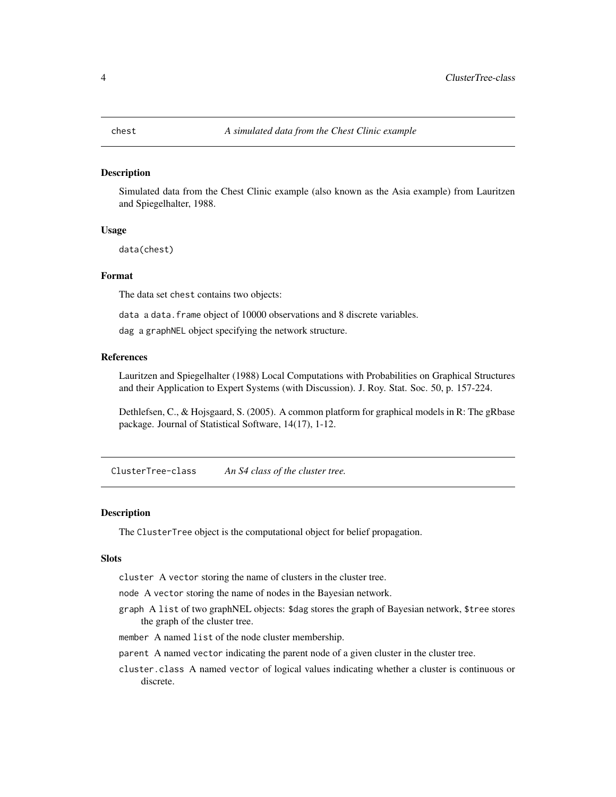<span id="page-3-0"></span>

Simulated data from the Chest Clinic example (also known as the Asia example) from Lauritzen and Spiegelhalter, 1988.

# Usage

data(chest)

#### Format

The data set chest contains two objects:

data a data. frame object of 10000 observations and 8 discrete variables.

dag a graphNEL object specifying the network structure.

# References

Lauritzen and Spiegelhalter (1988) Local Computations with Probabilities on Graphical Structures and their Application to Expert Systems (with Discussion). J. Roy. Stat. Soc. 50, p. 157-224.

Dethlefsen, C., & Hojsgaard, S. (2005). A common platform for graphical models in R: The gRbase package. Journal of Statistical Software, 14(17), 1-12.

<span id="page-3-1"></span>ClusterTree-class *An S4 class of the cluster tree.*

#### **Description**

The ClusterTree object is the computational object for belief propagation.

# Slots

cluster A vector storing the name of clusters in the cluster tree.

node A vector storing the name of nodes in the Bayesian network.

- graph A list of two graphNEL objects: \$dag stores the graph of Bayesian network, \$tree stores the graph of the cluster tree.
- member A named list of the node cluster membership.
- parent A named vector indicating the parent node of a given cluster in the cluster tree.
- cluster.class A named vector of logical values indicating whether a cluster is continuous or discrete.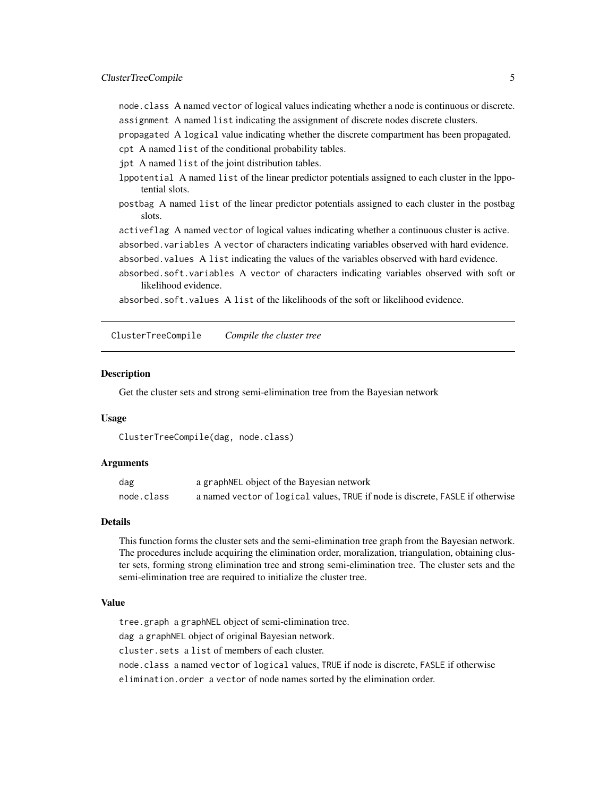<span id="page-4-0"></span>node.class A named vector of logical values indicating whether a node is continuous or discrete. assignment A named list indicating the assignment of discrete nodes discrete clusters.

propagated A logical value indicating whether the discrete compartment has been propagated.

cpt A named list of the conditional probability tables.

jpt A named list of the joint distribution tables.

- lppotential A named list of the linear predictor potentials assigned to each cluster in the lppotential slots.
- postbag A named list of the linear predictor potentials assigned to each cluster in the postbag slots.

activeflag A named vector of logical values indicating whether a continuous cluster is active. absorbed.variables A vector of characters indicating variables observed with hard evidence.

absorbed.values A list indicating the values of the variables observed with hard evidence.

absorbed.soft.variables A vector of characters indicating variables observed with soft or likelihood evidence.

absorbed.soft.values A list of the likelihoods of the soft or likelihood evidence.

<span id="page-4-1"></span>ClusterTreeCompile *Compile the cluster tree*

#### **Description**

Get the cluster sets and strong semi-elimination tree from the Bayesian network

#### Usage

ClusterTreeCompile(dag, node.class)

#### Arguments

| dag        | a graphNEL object of the Bayesian network                                      |
|------------|--------------------------------------------------------------------------------|
| node.class | a named vector of logical values, TRUE if node is discrete, FASLE if otherwise |

# Details

This function forms the cluster sets and the semi-elimination tree graph from the Bayesian network. The procedures include acquiring the elimination order, moralization, triangulation, obtaining cluster sets, forming strong elimination tree and strong semi-elimination tree. The cluster sets and the semi-elimination tree are required to initialize the cluster tree.

#### Value

tree.graph a graphNEL object of semi-elimination tree.

dag a graphNEL object of original Bayesian network.

cluster.sets a list of members of each cluster.

node.class a named vector of logical values, TRUE if node is discrete, FASLE if otherwise elimination.order a vector of node names sorted by the elimination order.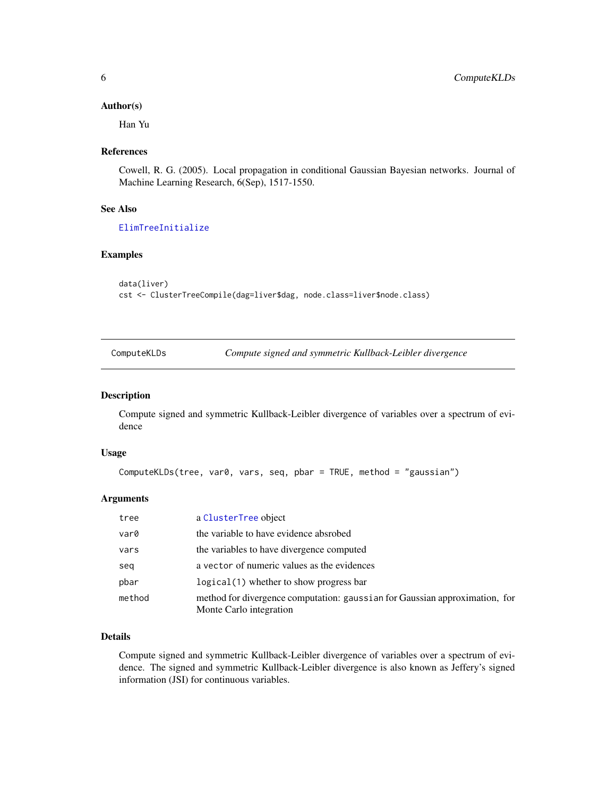# <span id="page-5-0"></span>Author(s)

Han Yu

# References

Cowell, R. G. (2005). Local propagation in conditional Gaussian Bayesian networks. Journal of Machine Learning Research, 6(Sep), 1517-1550.

# See Also

# [ElimTreeInitialize](#page-6-1)

# Examples

```
data(liver)
cst <- ClusterTreeCompile(dag=liver$dag, node.class=liver$node.class)
```

| ComputeKLDs | Compute signed and symmetric Kullback-Leibler divergence |
|-------------|----------------------------------------------------------|
|-------------|----------------------------------------------------------|

#### Description

Compute signed and symmetric Kullback-Leibler divergence of variables over a spectrum of evidence

# Usage

```
ComputeKLDs(tree, var0, vars, seq, pbar = TRUE, method = "gaussian")
```
# Arguments

| tree   | a ClusterTree object                                                                                   |
|--------|--------------------------------------------------------------------------------------------------------|
| var0   | the variable to have evidence absrobed                                                                 |
| vars   | the variables to have divergence computed                                                              |
| seq    | a vector of numeric values as the evidences                                                            |
| pbar   | $logical(1)$ whether to show progress bar                                                              |
| method | method for divergence computation: gaussian for Gaussian approximation, for<br>Monte Carlo integration |

# Details

Compute signed and symmetric Kullback-Leibler divergence of variables over a spectrum of evidence. The signed and symmetric Kullback-Leibler divergence is also known as Jeffery's signed information (JSI) for continuous variables.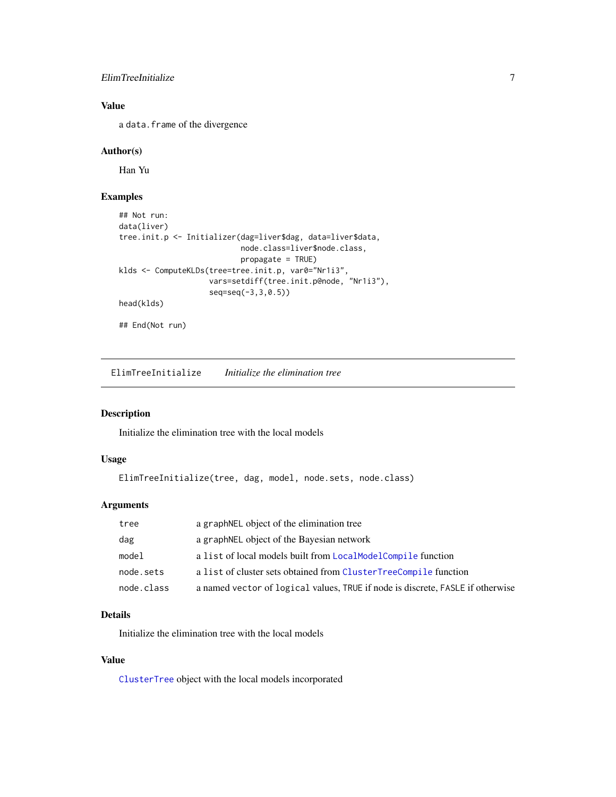# <span id="page-6-0"></span>ElimTreeInitialize 7

# Value

a data.frame of the divergence

# Author(s)

Han Yu

# Examples

```
## Not run:
data(liver)
tree.init.p <- Initializer(dag=liver$dag, data=liver$data,
                           node.class=liver$node.class,
                           propagate = TRUE)
klds <- ComputeKLDs(tree=tree.init.p, var0="Nr1i3",
                    vars=setdiff(tree.init.p@node, "Nr1i3"),
                    seq=seq(-3,3,0.5))
head(klds)
## End(Not run)
```
<span id="page-6-1"></span>

ElimTreeInitialize *Initialize the elimination tree*

# Description

Initialize the elimination tree with the local models

# Usage

```
ElimTreeInitialize(tree, dag, model, node.sets, node.class)
```
# Arguments

| tree       | a graph NEL object of the elimination tree                                     |
|------------|--------------------------------------------------------------------------------|
| dag        | a graphNEL object of the Bayesian network                                      |
| model      | a list of local models built from LocalModelCompile function                   |
| node.sets  | a list of cluster sets obtained from ClusterTreeCompile function               |
| node.class | a named vector of logical values, TRUE if node is discrete, FASLE if otherwise |

# Details

Initialize the elimination tree with the local models

# Value

[ClusterTree](#page-3-1) object with the local models incorporated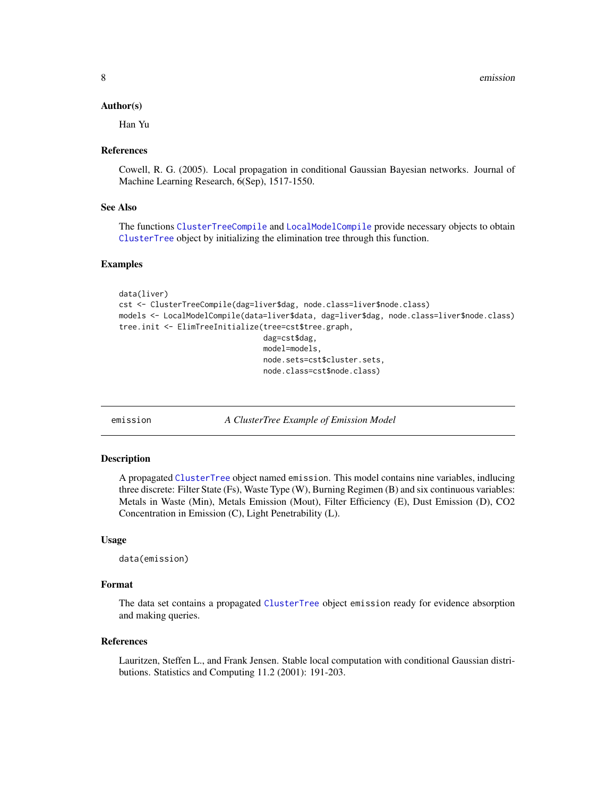<span id="page-7-0"></span>8 emission and the contract of the contract of the contract of the contract of the contract of the contract of the contract of the contract of the contract of the contract of the contract of the contract of the contract of

#### Author(s)

Han Yu

#### References

Cowell, R. G. (2005). Local propagation in conditional Gaussian Bayesian networks. Journal of Machine Learning Research, 6(Sep), 1517-1550.

# See Also

The functions [ClusterTreeCompile](#page-4-1) and [LocalModelCompile](#page-11-1) provide necessary objects to obtain [ClusterTree](#page-3-1) object by initializing the elimination tree through this function.

#### Examples

```
data(liver)
cst <- ClusterTreeCompile(dag=liver$dag, node.class=liver$node.class)
models <- LocalModelCompile(data=liver$data, dag=liver$dag, node.class=liver$node.class)
tree.init <- ElimTreeInitialize(tree=cst$tree.graph,
                                dag=cst$dag,
                                model=models,
                                node.sets=cst$cluster.sets,
                                node.class=cst$node.class)
```
emission *A ClusterTree Example of Emission Model*

#### Description

A propagated [ClusterTree](#page-3-1) object named emission. This model contains nine variables, indlucing three discrete: Filter State (Fs), Waste Type (W), Burning Regimen (B) and six continuous variables: Metals in Waste (Min), Metals Emission (Mout), Filter Efficiency (E), Dust Emission (D), CO2 Concentration in Emission (C), Light Penetrability (L).

#### Usage

```
data(emission)
```
# Format

The data set contains a propagated [ClusterTree](#page-3-1) object emission ready for evidence absorption and making queries.

## References

Lauritzen, Steffen L., and Frank Jensen. Stable local computation with conditional Gaussian distributions. Statistics and Computing 11.2 (2001): 191-203.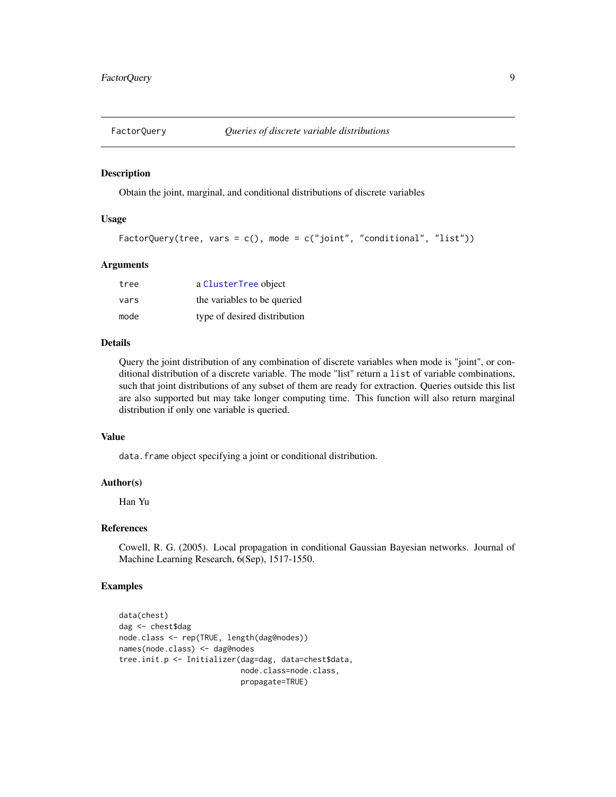<span id="page-8-0"></span>

Obtain the joint, marginal, and conditional distributions of discrete variables

# Usage

```
FactorQuery(tree, vars = c(), mode = c("joint", "conditional", "list"))
```
# Arguments

| tree | a ClusterTree object         |
|------|------------------------------|
| vars | the variables to be queried  |
| mode | type of desired distribution |

# Details

Query the joint distribution of any combination of discrete variables when mode is "joint", or conditional distribution of a discrete variable. The mode "list" return a list of variable combinations, such that joint distributions of any subset of them are ready for extraction. Queries outside this list are also supported but may take longer computing time. This function will also return marginal distribution if only one variable is queried.

# Value

data.frame object specifying a joint or conditional distribution.

#### Author(s)

Han Yu

# References

Cowell, R. G. (2005). Local propagation in conditional Gaussian Bayesian networks. Journal of Machine Learning Research, 6(Sep), 1517-1550.

```
data(chest)
dag <- chest$dag
node.class <- rep(TRUE, length(dag@nodes))
names(node.class) <- dag@nodes
tree.init.p <- Initializer(dag=dag, data=chest$data,
                           node.class=node.class,
                           propagate=TRUE)
```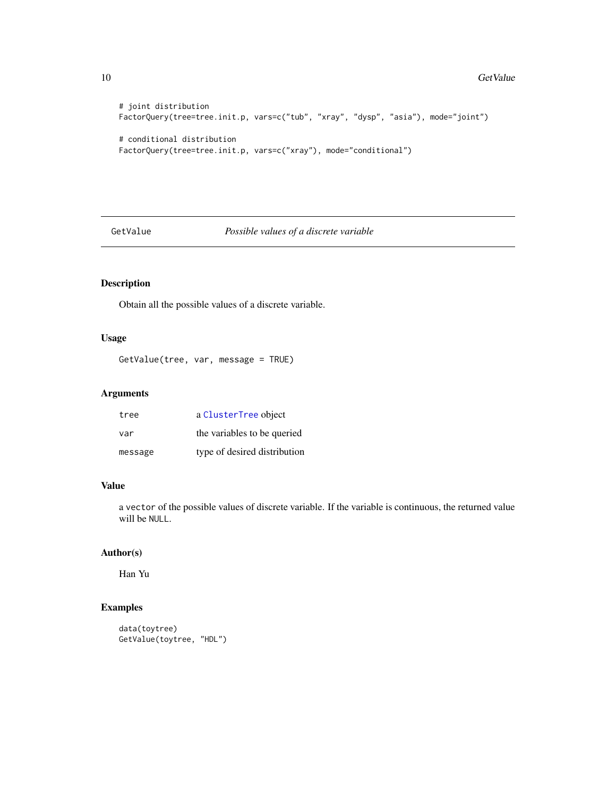```
# joint distribution
FactorQuery(tree=tree.init.p, vars=c("tub", "xray", "dysp", "asia"), mode="joint")
# conditional distribution
FactorQuery(tree=tree.init.p, vars=c("xray"), mode="conditional")
```
GetValue *Possible values of a discrete variable*

# Description

Obtain all the possible values of a discrete variable.

# Usage

```
GetValue(tree, var, message = TRUE)
```
# Arguments

| tree    | a ClusterTree object         |
|---------|------------------------------|
| var     | the variables to be queried  |
| message | type of desired distribution |

#### Value

a vector of the possible values of discrete variable. If the variable is continuous, the returned value will be NULL.

# Author(s)

Han Yu

```
data(toytree)
GetValue(toytree, "HDL")
```
<span id="page-9-0"></span>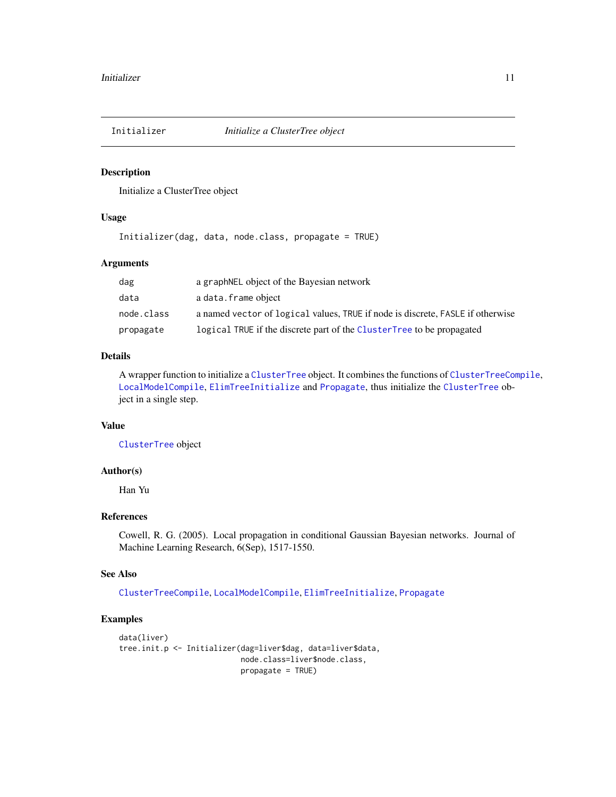<span id="page-10-0"></span>

Initialize a ClusterTree object

# Usage

Initializer(dag, data, node.class, propagate = TRUE)

# Arguments

| dag        | a graph NEL object of the Bayesian network                                     |
|------------|--------------------------------------------------------------------------------|
| data       | a data.frame object                                                            |
| node.class | a named vector of logical values, TRUE if node is discrete, FASLE if otherwise |
| propagate  | logical TRUE if the discrete part of the ClusterTree to be propagated          |

#### Details

A wrapper function to initialize a [ClusterTree](#page-3-1) object. It combines the functions of [ClusterTreeCompile](#page-4-1), [LocalModelCompile](#page-11-1), [ElimTreeInitialize](#page-6-1) and [Propagate](#page-16-1), thus initialize the [ClusterTree](#page-3-1) object in a single step.

# Value

[ClusterTree](#page-3-1) object

# Author(s)

Han Yu

# References

Cowell, R. G. (2005). Local propagation in conditional Gaussian Bayesian networks. Journal of Machine Learning Research, 6(Sep), 1517-1550.

#### See Also

[ClusterTreeCompile](#page-4-1), [LocalModelCompile](#page-11-1), [ElimTreeInitialize](#page-6-1), [Propagate](#page-16-1)

```
data(liver)
tree.init.p <- Initializer(dag=liver$dag, data=liver$data,
                           node.class=liver$node.class,
                           propagate = TRUE)
```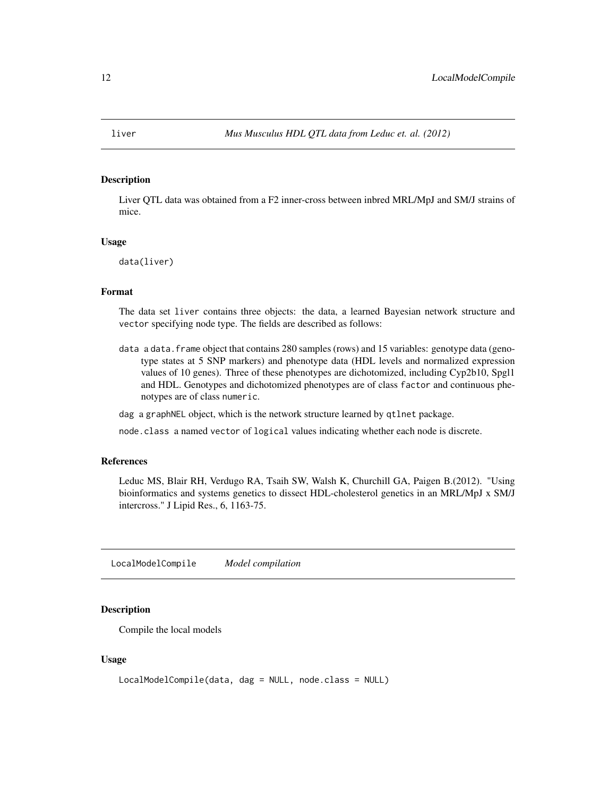<span id="page-11-2"></span><span id="page-11-0"></span>

Liver QTL data was obtained from a F2 inner-cross between inbred MRL/MpJ and SM/J strains of mice.

#### Usage

data(liver)

#### Format

The data set liver contains three objects: the data, a learned Bayesian network structure and vector specifying node type. The fields are described as follows:

data a data.frame object that contains 280 samples (rows) and 15 variables: genotype data (genotype states at 5 SNP markers) and phenotype data (HDL levels and normalized expression values of 10 genes). Three of these phenotypes are dichotomized, including Cyp2b10, Spgl1 and HDL. Genotypes and dichotomized phenotypes are of class factor and continuous phenotypes are of class numeric.

dag a graphNEL object, which is the network structure learned by qtlnet package.

node.class a named vector of logical values indicating whether each node is discrete.

#### References

Leduc MS, Blair RH, Verdugo RA, Tsaih SW, Walsh K, Churchill GA, Paigen B.(2012). "Using bioinformatics and systems genetics to dissect HDL-cholesterol genetics in an MRL/MpJ x SM/J intercross." J Lipid Res., 6, 1163-75.

<span id="page-11-1"></span>LocalModelCompile *Model compilation*

#### Description

Compile the local models

#### Usage

```
LocalModelCompile(data, dag = NULL, node.class = NULL)
```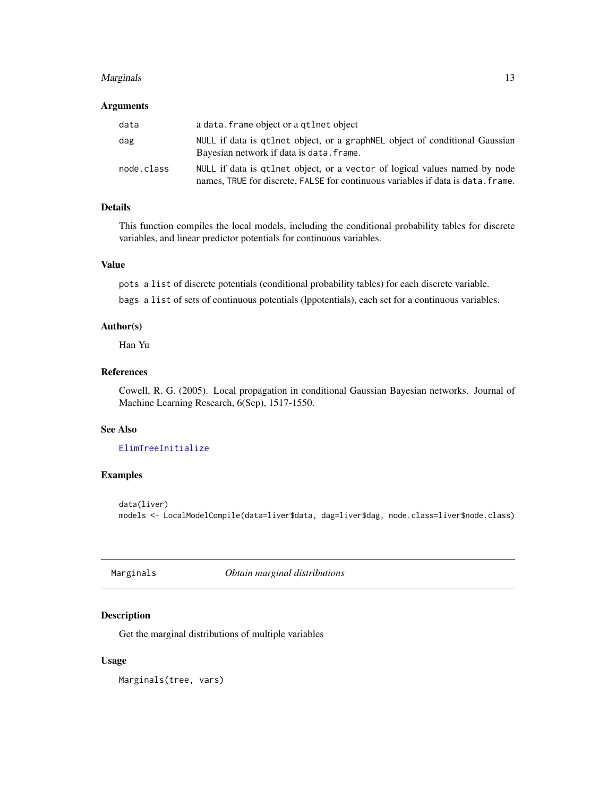#### <span id="page-12-0"></span>Marginals **13**

#### Arguments

| data       | a data. frame object or a qtlnet object                                                                                                                        |
|------------|----------------------------------------------------------------------------------------------------------------------------------------------------------------|
| dag        | NULL if data is qtlnet object, or a graph NEL object of conditional Gaussian<br>Bayesian network if data is data. frame.                                       |
| node.class | NULL if data is quinet object, or a vector of logical values named by node<br>names, TRUE for discrete, FALSE for continuous variables if data is data. frame. |

# Details

This function compiles the local models, including the conditional probability tables for discrete variables, and linear predictor potentials for continuous variables.

# Value

pots a list of discrete potentials (conditional probability tables) for each discrete variable.

bags a list of sets of continuous potentials (lppotentials), each set for a continuous variables.

# Author(s)

Han Yu

# References

Cowell, R. G. (2005). Local propagation in conditional Gaussian Bayesian networks. Journal of Machine Learning Research, 6(Sep), 1517-1550.

# See Also

# [ElimTreeInitialize](#page-6-1)

# Examples

data(liver) models <- LocalModelCompile(data=liver\$data, dag=liver\$dag, node.class=liver\$node.class)

<span id="page-12-1"></span>Marginals *Obtain marginal distributions*

## Description

Get the marginal distributions of multiple variables

#### Usage

Marginals(tree, vars)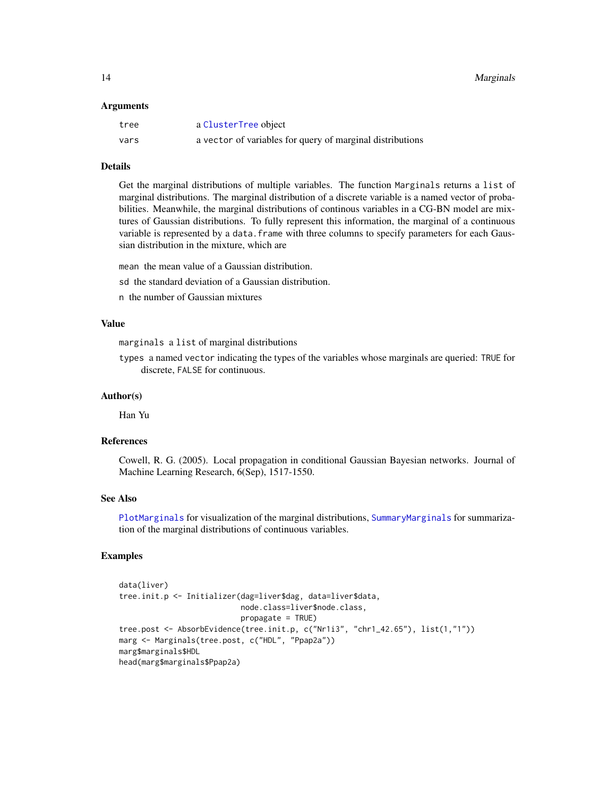#### <span id="page-13-0"></span>Arguments

| tree | a ClusterTree object                                      |
|------|-----------------------------------------------------------|
| vars | a vector of variables for query of marginal distributions |

#### Details

Get the marginal distributions of multiple variables. The function Marginals returns a list of marginal distributions. The marginal distribution of a discrete variable is a named vector of probabilities. Meanwhile, the marginal distributions of continous variables in a CG-BN model are mixtures of Gaussian distributions. To fully represent this information, the marginal of a continuous variable is represented by a data. frame with three columns to specify parameters for each Gaussian distribution in the mixture, which are

mean the mean value of a Gaussian distribution.

sd the standard deviation of a Gaussian distribution.

n the number of Gaussian mixtures

# Value

marginals a list of marginal distributions

types a named vector indicating the types of the variables whose marginals are queried: TRUE for discrete, FALSE for continuous.

#### Author(s)

Han Yu

## References

Cowell, R. G. (2005). Local propagation in conditional Gaussian Bayesian networks. Journal of Machine Learning Research, 6(Sep), 1517-1550.

# See Also

[PlotMarginals](#page-15-1) for visualization of the marginal distributions, [SummaryMarginals](#page-19-1) for summarization of the marginal distributions of continuous variables.

```
data(liver)
tree.init.p <- Initializer(dag=liver$dag, data=liver$data,
                           node.class=liver$node.class,
                           propagate = TRUE)
tree.post <- AbsorbEvidence(tree.init.p, c("Nr1i3", "chr1_42.65"), list(1,"1"))
marg <- Marginals(tree.post, c("HDL", "Ppap2a"))
marg$marginals$HDL
head(marg$marginals$Ppap2a)
```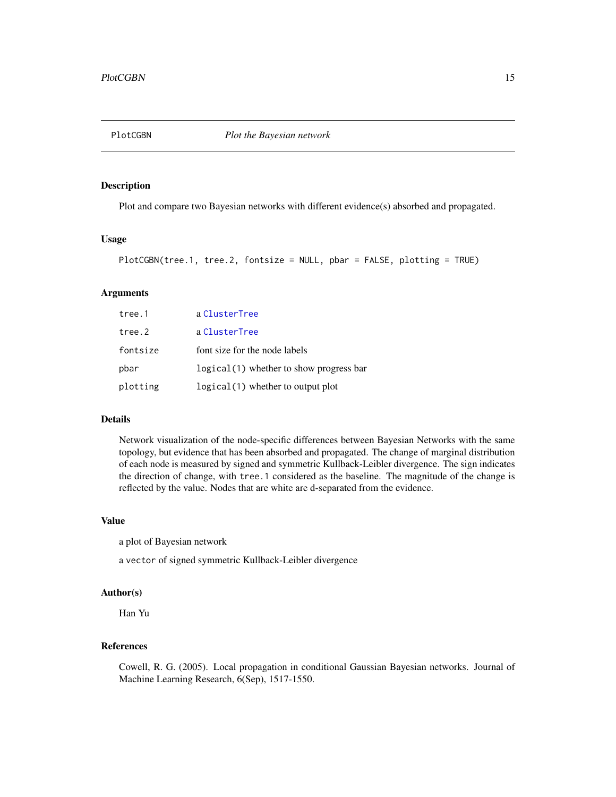<span id="page-14-1"></span><span id="page-14-0"></span>

Plot and compare two Bayesian networks with different evidence(s) absorbed and propagated.

#### Usage

```
PlotCGBN(tree.1, tree.2, fontsize = NULL, pbar = FALSE, plotting = TRUE)
```
# Arguments

| tree.1   | a ClusterTree                             |
|----------|-------------------------------------------|
| tree.2   | a ClusterTree                             |
| fontsize | font size for the node labels             |
| pbar     | $logical(1)$ whether to show progress bar |
| plotting | logical(1) whether to output plot         |

#### Details

Network visualization of the node-specific differences between Bayesian Networks with the same topology, but evidence that has been absorbed and propagated. The change of marginal distribution of each node is measured by signed and symmetric Kullback-Leibler divergence. The sign indicates the direction of change, with tree.1 considered as the baseline. The magnitude of the change is reflected by the value. Nodes that are white are d-separated from the evidence.

# Value

a plot of Bayesian network

a vector of signed symmetric Kullback-Leibler divergence

# Author(s)

Han Yu

# References

Cowell, R. G. (2005). Local propagation in conditional Gaussian Bayesian networks. Journal of Machine Learning Research, 6(Sep), 1517-1550.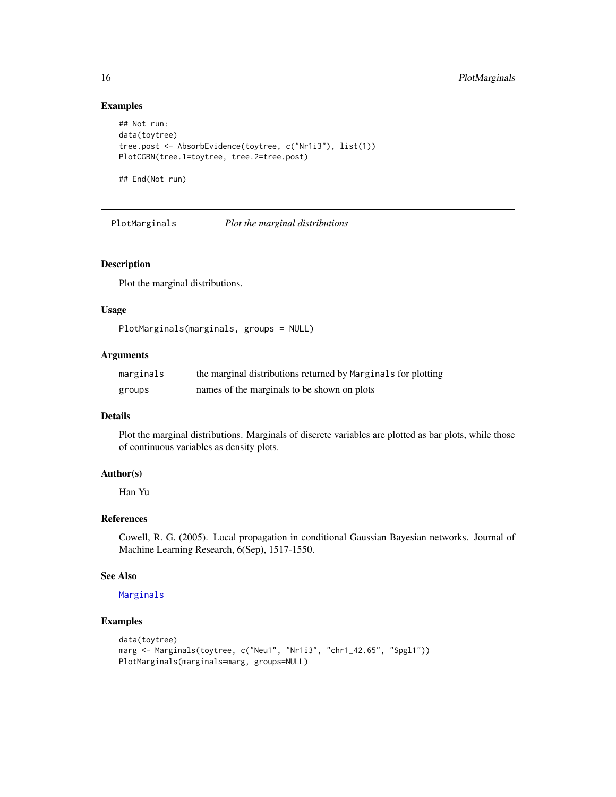# Examples

```
## Not run:
data(toytree)
tree.post <- AbsorbEvidence(toytree, c("Nr1i3"), list(1))
PlotCGBN(tree.1=toytree, tree.2=tree.post)
```
## End(Not run)

<span id="page-15-1"></span>PlotMarginals *Plot the marginal distributions*

# Description

Plot the marginal distributions.

# Usage

PlotMarginals(marginals, groups = NULL)

# Arguments

| marginals | the marginal distributions returned by Marginals for plotting |
|-----------|---------------------------------------------------------------|
| groups    | names of the marginals to be shown on plots                   |

#### Details

Plot the marginal distributions. Marginals of discrete variables are plotted as bar plots, while those of continuous variables as density plots.

# Author(s)

Han Yu

# References

Cowell, R. G. (2005). Local propagation in conditional Gaussian Bayesian networks. Journal of Machine Learning Research, 6(Sep), 1517-1550.

#### See Also

# [Marginals](#page-12-1)

```
data(toytree)
marg <- Marginals(toytree, c("Neu1", "Nr1i3", "chr1_42.65", "Spgl1"))
PlotMarginals(marginals=marg, groups=NULL)
```
<span id="page-15-0"></span>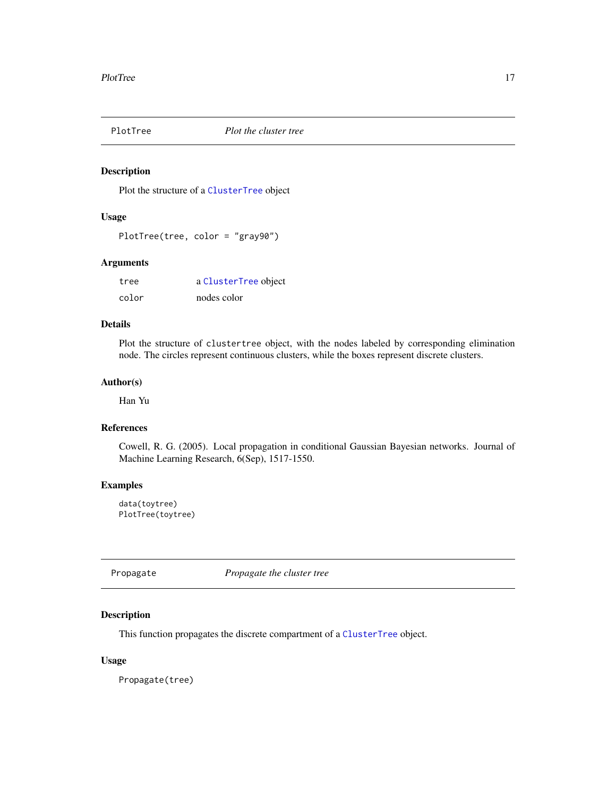<span id="page-16-0"></span>

Plot the structure of a [ClusterTree](#page-3-1) object

## Usage

PlotTree(tree, color = "gray90")

# Arguments

| tree  | a ClusterTree object |
|-------|----------------------|
| color | nodes color          |

#### Details

Plot the structure of clustertree object, with the nodes labeled by corresponding elimination node. The circles represent continuous clusters, while the boxes represent discrete clusters.

# Author(s)

Han Yu

# References

Cowell, R. G. (2005). Local propagation in conditional Gaussian Bayesian networks. Journal of Machine Learning Research, 6(Sep), 1517-1550.

# Examples

data(toytree) PlotTree(toytree)

<span id="page-16-1"></span>Propagate *Propagate the cluster tree*

# Description

This function propagates the discrete compartment of a [ClusterTree](#page-3-1) object.

#### Usage

Propagate(tree)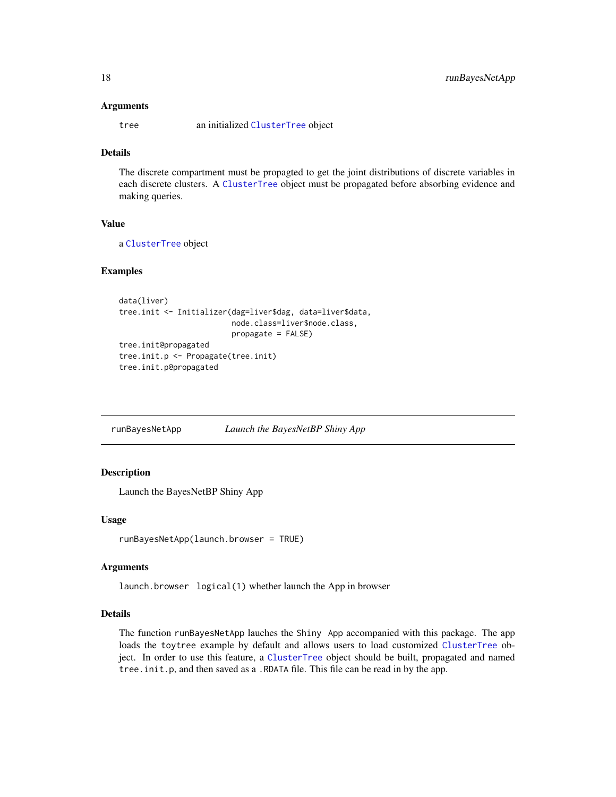#### <span id="page-17-0"></span>Arguments

tree an initialized [ClusterTree](#page-3-1) object

# Details

The discrete compartment must be propagted to get the joint distributions of discrete variables in each discrete clusters. A [ClusterTree](#page-3-1) object must be propagated before absorbing evidence and making queries.

# Value

a [ClusterTree](#page-3-1) object

# Examples

```
data(liver)
tree.init <- Initializer(dag=liver$dag, data=liver$data,
                         node.class=liver$node.class,
                         propagate = FALSE)
tree.init@propagated
tree.init.p <- Propagate(tree.init)
tree.init.p@propagated
```
runBayesNetApp *Launch the BayesNetBP Shiny App*

# Description

Launch the BayesNetBP Shiny App

# Usage

```
runBayesNetApp(launch.browser = TRUE)
```
#### Arguments

launch.browser logical(1) whether launch the App in browser

# Details

The function runBayesNetApp lauches the Shiny App accompanied with this package. The app loads the toytree example by default and allows users to load customized [ClusterTree](#page-3-1) object. In order to use this feature, a [ClusterTree](#page-3-1) object should be built, propagated and named tree.init.p, and then saved as a .RDATA file. This file can be read in by the app.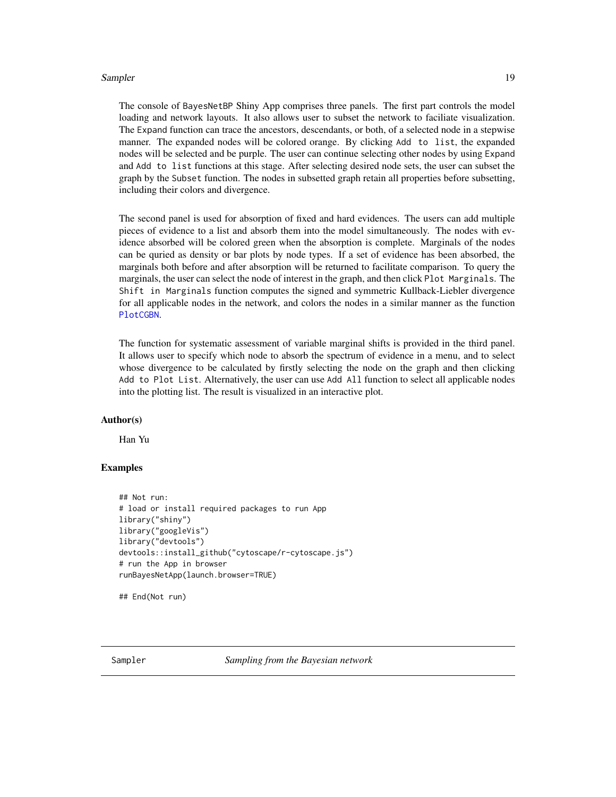#### <span id="page-18-0"></span>Sampler 2008 and 2008 and 2008 and 2008 and 2008 and 2008 and 2008 and 2008 and 2008 and 2008 and 2008 and 200

The console of BayesNetBP Shiny App comprises three panels. The first part controls the model loading and network layouts. It also allows user to subset the network to faciliate visualization. The Expand function can trace the ancestors, descendants, or both, of a selected node in a stepwise manner. The expanded nodes will be colored orange. By clicking Add to list, the expanded nodes will be selected and be purple. The user can continue selecting other nodes by using Expand and Add to list functions at this stage. After selecting desired node sets, the user can subset the graph by the Subset function. The nodes in subsetted graph retain all properties before subsetting, including their colors and divergence.

The second panel is used for absorption of fixed and hard evidences. The users can add multiple pieces of evidence to a list and absorb them into the model simultaneously. The nodes with evidence absorbed will be colored green when the absorption is complete. Marginals of the nodes can be quried as density or bar plots by node types. If a set of evidence has been absorbed, the marginals both before and after absorption will be returned to facilitate comparison. To query the marginals, the user can select the node of interest in the graph, and then click Plot Marginals. The Shift in Marginals function computes the signed and symmetric Kullback-Liebler divergence for all applicable nodes in the network, and colors the nodes in a similar manner as the function [PlotCGBN](#page-14-1).

The function for systematic assessment of variable marginal shifts is provided in the third panel. It allows user to specify which node to absorb the spectrum of evidence in a menu, and to select whose divergence to be calculated by firstly selecting the node on the graph and then clicking Add to Plot List. Alternatively, the user can use Add All function to select all applicable nodes into the plotting list. The result is visualized in an interactive plot.

# Author(s)

Han Yu

# Examples

```
## Not run:
# load or install required packages to run App
library("shiny")
library("googleVis")
library("devtools")
devtools::install_github("cytoscape/r-cytoscape.js")
# run the App in browser
runBayesNetApp(launch.browser=TRUE)
```
## End(Not run)

Sampler *Sampling from the Bayesian network*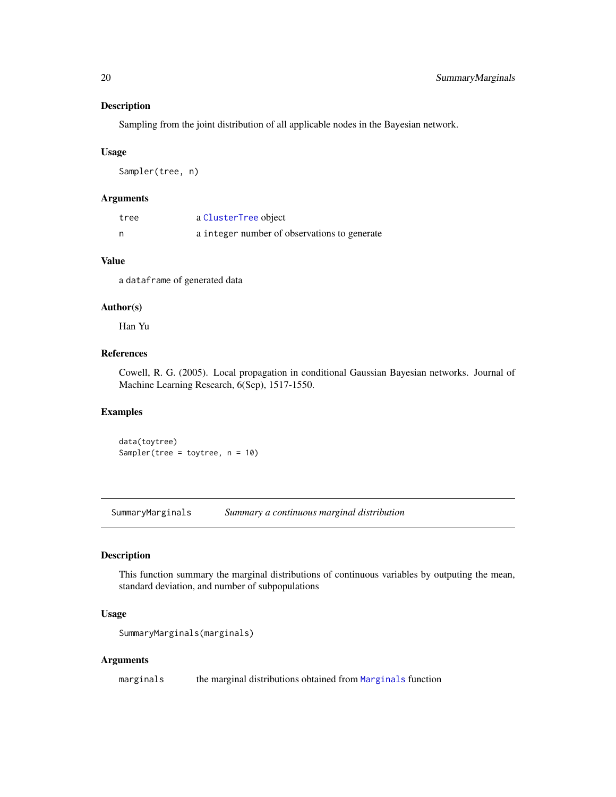Sampling from the joint distribution of all applicable nodes in the Bayesian network.

#### Usage

Sampler(tree, n)

# Arguments

| tree | a ClusterTree object                         |
|------|----------------------------------------------|
|      | a integer number of observations to generate |

# Value

a dataframe of generated data

#### Author(s)

Han Yu

# References

Cowell, R. G. (2005). Local propagation in conditional Gaussian Bayesian networks. Journal of Machine Learning Research, 6(Sep), 1517-1550.

#### Examples

data(toytree) Sampler(tree = toytree, n = 10)

<span id="page-19-1"></span>SummaryMarginals *Summary a continuous marginal distribution*

# Description

This function summary the marginal distributions of continuous variables by outputing the mean, standard deviation, and number of subpopulations

# Usage

```
SummaryMarginals(marginals)
```
#### Arguments

marginals the marginal distributions obtained from [Marginals](#page-12-1) function

<span id="page-19-0"></span>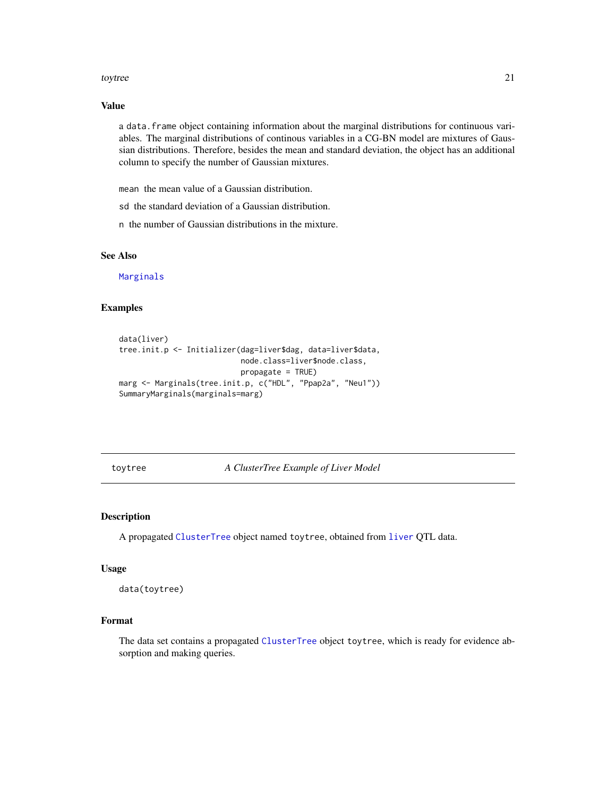#### <span id="page-20-0"></span>toytree 21

# Value

a data.frame object containing information about the marginal distributions for continuous variables. The marginal distributions of continous variables in a CG-BN model are mixtures of Gaussian distributions. Therefore, besides the mean and standard deviation, the object has an additional column to specify the number of Gaussian mixtures.

mean the mean value of a Gaussian distribution.

sd the standard deviation of a Gaussian distribution.

n the number of Gaussian distributions in the mixture.

# See Also

[Marginals](#page-12-1)

# Examples

```
data(liver)
tree.init.p <- Initializer(dag=liver$dag, data=liver$data,
                           node.class=liver$node.class,
                           propagate = TRUE)
marg <- Marginals(tree.init.p, c("HDL", "Ppap2a", "Neu1"))
SummaryMarginals(marginals=marg)
```
toytree *A ClusterTree Example of Liver Model*

# Description

A propagated [ClusterTree](#page-3-1) object named toytree, obtained from [liver](#page-11-2) QTL data.

#### Usage

data(toytree)

# Format

The data set contains a propagated [ClusterTree](#page-3-1) object toytree, which is ready for evidence absorption and making queries.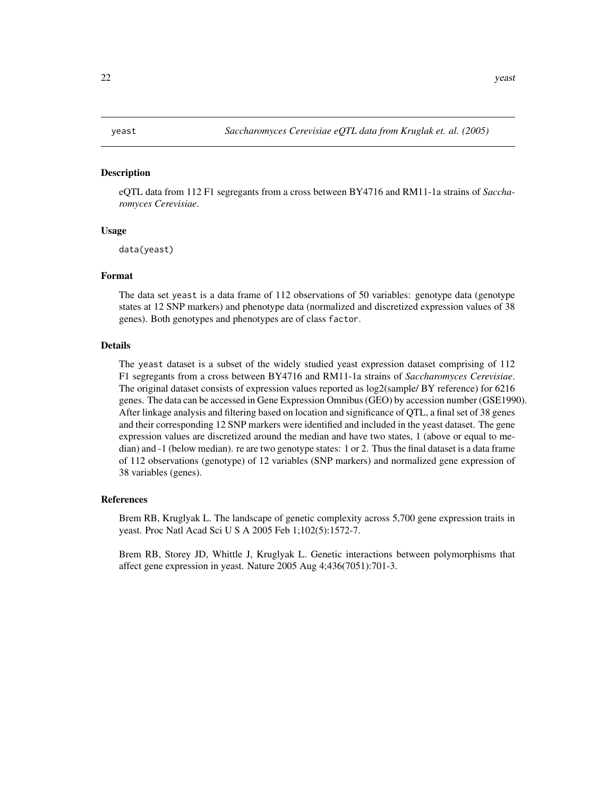<span id="page-21-0"></span>eQTL data from 112 F1 segregants from a cross between BY4716 and RM11-1a strains of *Saccharomyces Cerevisiae*.

# Usage

data(yeast)

#### Format

The data set yeast is a data frame of 112 observations of 50 variables: genotype data (genotype states at 12 SNP markers) and phenotype data (normalized and discretized expression values of 38 genes). Both genotypes and phenotypes are of class factor.

#### Details

The yeast dataset is a subset of the widely studied yeast expression dataset comprising of 112 F1 segregants from a cross between BY4716 and RM11-1a strains of *Saccharomyces Cerevisiae*. The original dataset consists of expression values reported as log2(sample/ BY reference) for 6216 genes. The data can be accessed in Gene Expression Omnibus (GEO) by accession number (GSE1990). After linkage analysis and filtering based on location and significance of QTL, a final set of 38 genes and their corresponding 12 SNP markers were identified and included in the yeast dataset. The gene expression values are discretized around the median and have two states, 1 (above or equal to median) and -1 (below median). re are two genotype states: 1 or 2. Thus the final dataset is a data frame of 112 observations (genotype) of 12 variables (SNP markers) and normalized gene expression of 38 variables (genes).

#### References

Brem RB, Kruglyak L. The landscape of genetic complexity across 5,700 gene expression traits in yeast. Proc Natl Acad Sci U S A 2005 Feb 1;102(5):1572-7.

Brem RB, Storey JD, Whittle J, Kruglyak L. Genetic interactions between polymorphisms that affect gene expression in yeast. Nature 2005 Aug 4;436(7051):701-3.